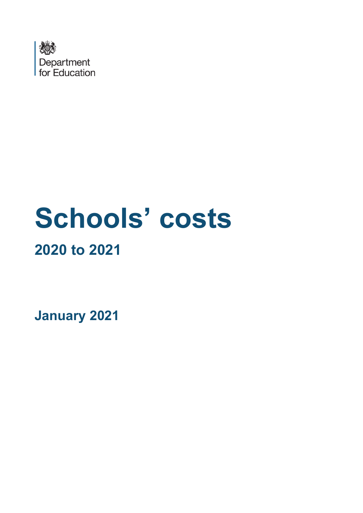

# **Schools' costs 2020 to 2021**

**January 2021**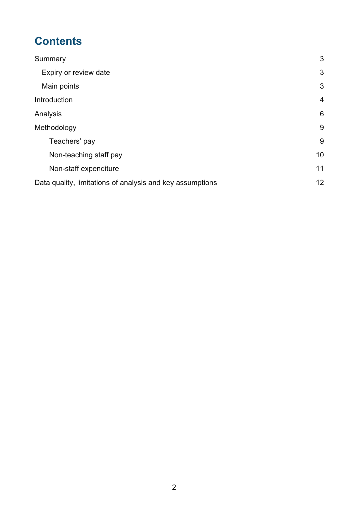# **Contents**

| Summary                                                   | 3              |
|-----------------------------------------------------------|----------------|
| Expiry or review date                                     | 3              |
| Main points                                               | 3              |
| Introduction                                              | $\overline{4}$ |
| Analysis                                                  | 6              |
| Methodology                                               | 9              |
| Teachers' pay                                             | 9              |
| Non-teaching staff pay                                    | 10             |
| Non-staff expenditure                                     | 11             |
| Data quality, limitations of analysis and key assumptions | 12             |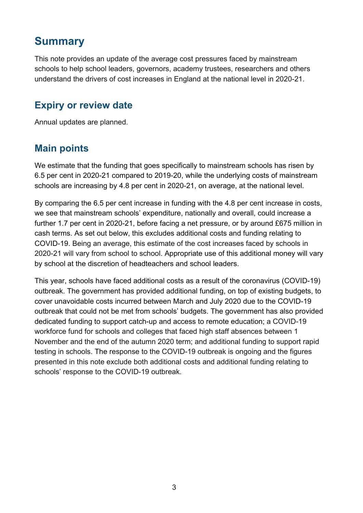## <span id="page-2-0"></span>**Summary**

This note provides an update of the average cost pressures faced by mainstream schools to help school leaders, governors, academy trustees, researchers and others understand the drivers of cost increases in England at the national level in 2020-21.

#### <span id="page-2-1"></span>**Expiry or review date**

Annual updates are planned.

#### <span id="page-2-2"></span>**Main points**

We estimate that the funding that goes specifically to mainstream schools has risen by 6.5 per cent in 2020-21 compared to 2019-20, while the underlying costs of mainstream schools are increasing by 4.8 per cent in 2020-21, on average, at the national level.

By comparing the 6.5 per cent increase in funding with the 4.8 per cent increase in costs, we see that mainstream schools' expenditure, nationally and overall, could increase a further 1.7 per cent in 2020-21, before facing a net pressure, or by around £675 million in cash terms. As set out below, this excludes additional costs and funding relating to COVID-19. Being an average, this estimate of the cost increases faced by schools in 2020-21 will vary from school to school. Appropriate use of this additional money will vary by school at the discretion of headteachers and school leaders.

This year, schools have faced additional costs as a result of the coronavirus (COVID-19) outbreak. The government has provided additional funding, on top of existing budgets, to cover unavoidable costs incurred between March and July 2020 due to the COVID-19 outbreak that could not be met from schools' budgets. The government has also provided dedicated funding to support catch-up and access to remote education; a COVID-19 workforce fund for schools and colleges that faced high staff absences between 1 November and the end of the autumn 2020 term; and additional funding to support rapid testing in schools. The response to the COVID-19 outbreak is ongoing and the figures presented in this note exclude both additional costs and additional funding relating to schools' response to the COVID-19 outbreak.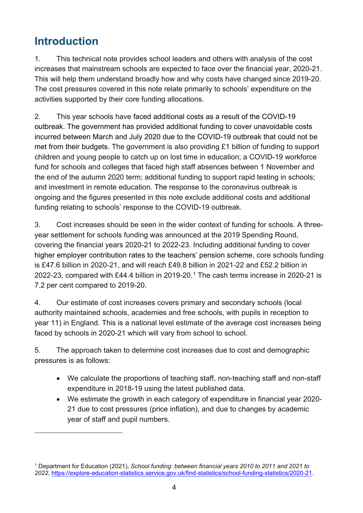# <span id="page-3-0"></span>**Introduction**

1. This technical note provides school leaders and others with analysis of the cost increases that mainstream schools are expected to face over the financial year, 2020-21. This will help them understand broadly how and why costs have changed since 2019-20. The cost pressures covered in this note relate primarily to schools' expenditure on the activities supported by their core funding allocations.

2. This year schools have faced additional costs as a result of the COVID-19 outbreak. The government has provided additional funding to cover unavoidable costs incurred between March and July 2020 due to the COVID-19 outbreak that could not be met from their budgets. The government is also providing £1 billion of funding to support children and young people to catch up on lost time in education; a COVID-19 workforce fund for schools and colleges that faced high staff absences between 1 November and the end of the autumn 2020 term; additional funding to support rapid testing in schools; and investment in remote education. The response to the coronavirus outbreak is ongoing and the figures presented in this note exclude additional costs and additional funding relating to schools' response to the COVID-19 outbreak.

3. Cost increases should be seen in the wider context of funding for schools. A threeyear settlement for schools funding was announced at the 2019 Spending Round, covering the financial years 2020-21 to 2022-23. Including additional funding to cover higher employer contribution rates to the teachers' pension scheme, core schools funding is £47.6 billion in 2020-21, and will reach £49.8 billion in 2021-22 and £52.2 billion in 2022-23, compared with £44.4 billion in 2019-20.[1](#page-3-1) The cash terms increase in 2020-21 is 7.2 per cent compared to 2019-20.

4. Our estimate of cost increases covers primary and secondary schools (local authority maintained schools, academies and free schools, with pupils in reception to year 11) in England. This is a national level estimate of the average cost increases being faced by schools in 2020-21 which will vary from school to school.

5. The approach taken to determine cost increases due to cost and demographic pressures is as follows:

- We calculate the proportions of teaching staff, non-teaching staff and non-staff expenditure in 2018-19 using the latest published data.
- We estimate the growth in each category of expenditure in financial year 2020- 21 due to cost pressures (price inflation), and due to changes by academic year of staff and pupil numbers.

<span id="page-3-1"></span><sup>1</sup> Department for Education (2021), *School funding: between financial years 2010 to 2011 and 2021 to 2022*, [https://explore-education-statistics.service.gov.uk/find-statistics/school-funding-statistics/2020-21.](https://explore-education-statistics.service.gov.uk/find-statistics/school-funding-statistics/2020-21)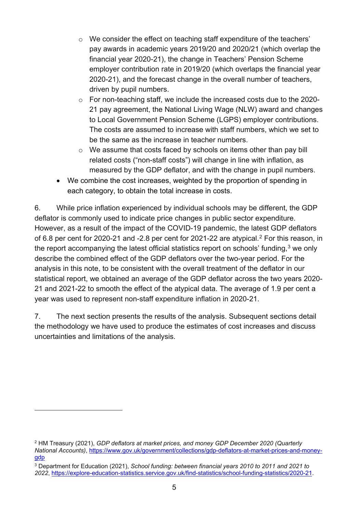- o We consider the effect on teaching staff expenditure of the teachers' pay awards in academic years 2019/20 and 2020/21 (which overlap the financial year 2020-21), the change in Teachers' Pension Scheme employer contribution rate in 2019/20 (which overlaps the financial year 2020-21), and the forecast change in the overall number of teachers, driven by pupil numbers.
- o For non-teaching staff, we include the increased costs due to the 2020- 21 pay agreement, the National Living Wage (NLW) award and changes to Local Government Pension Scheme (LGPS) employer contributions. The costs are assumed to increase with staff numbers, which we set to be the same as the increase in teacher numbers.
- o We assume that costs faced by schools on items other than pay bill related costs ("non-staff costs") will change in line with inflation, as measured by the GDP deflator, and with the change in pupil numbers.
- We combine the cost increases, weighted by the proportion of spending in each category, to obtain the total increase in costs.

6. While price inflation experienced by individual schools may be different, the GDP deflator is commonly used to indicate price changes in public sector expenditure. However, as a result of the impact of the COVID-19 pandemic, the latest GDP deflators of 6.8 per cent for [2](#page-4-0)020-21 and -2.8 per cent for 2021-22 are atypical.<sup>2</sup> For this reason, in the report accompanying the latest official statistics report on schools' funding,  $3$  we only describe the combined effect of the GDP deflators over the two-year period. For the analysis in this note, to be consistent with the overall treatment of the deflator in our statistical report, we obtained an average of the GDP deflator across the two years 2020- 21 and 2021-22 to smooth the effect of the atypical data. The average of 1.9 per cent a year was used to represent non-staff expenditure inflation in 2020-21.

7. The next section presents the results of the analysis. Subsequent sections detail the methodology we have used to produce the estimates of cost increases and discuss uncertainties and limitations of the analysis.

<span id="page-4-0"></span><sup>2</sup> HM Treasury (2021), *GDP deflators at market prices, and money GDP December 2020 (Quarterly National Accounts)*, [https://www.gov.uk/government/collections/gdp-deflators-at-market-prices-and-money](https://www.gov.uk/government/collections/gdp-deflators-at-market-prices-and-money-gdp)[gdp](https://www.gov.uk/government/collections/gdp-deflators-at-market-prices-and-money-gdp) 

<span id="page-4-1"></span><sup>3</sup> Department for Education (2021), *School funding: between financial years 2010 to 2011 and 2021 to 2022*, [https://explore-education-statistics.service.gov.uk/find-statistics/school-funding-statistics/2020-21.](https://explore-education-statistics.service.gov.uk/find-statistics/school-funding-statistics/2020-21)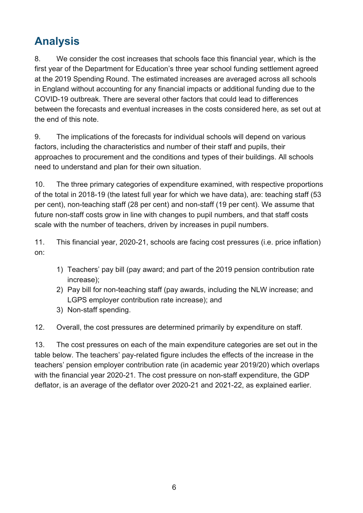# <span id="page-5-0"></span>**Analysis**

8. We consider the cost increases that schools face this financial year, which is the first year of the Department for Education's three year school funding settlement agreed at the 2019 Spending Round. The estimated increases are averaged across all schools in England without accounting for any financial impacts or additional funding due to the COVID-19 outbreak. There are several other factors that could lead to differences between the forecasts and eventual increases in the costs considered here, as set out at the end of this note.

9. The implications of the forecasts for individual schools will depend on various factors, including the characteristics and number of their staff and pupils, their approaches to procurement and the conditions and types of their buildings. All schools need to understand and plan for their own situation.

10. The three primary categories of expenditure examined, with respective proportions of the total in 2018-19 (the latest full year for which we have data), are: teaching staff (53 per cent), non-teaching staff (28 per cent) and non-staff (19 per cent). We assume that future non-staff costs grow in line with changes to pupil numbers, and that staff costs scale with the number of teachers, driven by increases in pupil numbers.

11. This financial year, 2020-21, schools are facing cost pressures (i.e. price inflation) on:

- 1) Teachers' pay bill (pay award; and part of the 2019 pension contribution rate increase);
- 2) Pay bill for non-teaching staff (pay awards, including the NLW increase; and LGPS employer contribution rate increase); and
- 3) Non-staff spending.

12. Overall, the cost pressures are determined primarily by expenditure on staff.

13. The cost pressures on each of the main expenditure categories are set out in the table below. The teachers' pay-related figure includes the effects of the increase in the teachers' pension employer contribution rate (in academic year 2019/20) which overlaps with the financial year 2020-21. The cost pressure on non-staff expenditure, the GDP deflator, is an average of the deflator over 2020-21 and 2021-22, as explained earlier.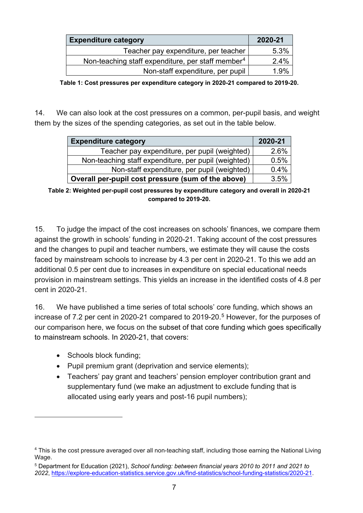| <b>Expenditure category</b>                                   | 2020-21 |
|---------------------------------------------------------------|---------|
| Teacher pay expenditure, per teacher                          | 5.3%    |
| Non-teaching staff expenditure, per staff member <sup>4</sup> | 2.4%    |
| Non-staff expenditure, per pupil                              | 1 ዓ%    |

**Table 1: Cost pressures per expenditure category in 2020-21 compared to 2019-20.** 

14. We can also look at the cost pressures on a common, per-pupil basis, and weight them by the sizes of the spending categories, as set out in the table below.

| <b>Expenditure category</b>                          | 2020-21 |
|------------------------------------------------------|---------|
| Teacher pay expenditure, per pupil (weighted)        | 2.6%    |
| Non-teaching staff expenditure, per pupil (weighted) | 0.5%    |
| Non-staff expenditure, per pupil (weighted)          | 0.4%    |
| Overall per-pupil cost pressure (sum of the above)   | 3.5%    |

**Table 2: Weighted per-pupil cost pressures by expenditure category and overall in 2020-21 compared to 2019-20.**

15. To judge the impact of the cost increases on schools' finances, we compare them against the growth in schools' funding in 2020-21. Taking account of the cost pressures and the changes to pupil and teacher numbers, we estimate they will cause the costs faced by mainstream schools to increase by 4.3 per cent in 2020-21. To this we add an additional 0.5 per cent due to increases in expenditure on special educational needs provision in mainstream settings. This yields an increase in the identified costs of 4.8 per cent in 2020-21.

16. We have published a time series of total schools' core funding, which shows an increase of 7.2 per cent in 2020-21 compared to 2019-20. [5](#page-6-1) However, for the purposes of our comparison here, we focus on the subset of that core funding which goes specifically to mainstream schools. In 2020-21, that covers:

- Schools block funding;
- Pupil premium grant (deprivation and service elements);
- Teachers' pay grant and teachers' pension employer contribution grant and supplementary fund (we make an adjustment to exclude funding that is allocated using early years and post-16 pupil numbers);

<span id="page-6-0"></span><sup>4</sup> This is the cost pressure averaged over all non-teaching staff, including those earning the National Living Wage.

<span id="page-6-1"></span><sup>5</sup> Department for Education (2021), *School funding: between financial years 2010 to 2011 and 2021 to 2022*, [https://explore-education-statistics.service.gov.uk/find-statistics/school-funding-statistics/2020-21.](https://explore-education-statistics.service.gov.uk/find-statistics/school-funding-statistics/2020-21)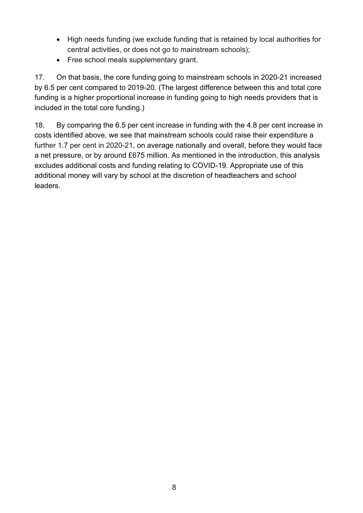- High needs funding (we exclude funding that is retained by local authorities for central activities, or does not go to mainstream schools);
- Free school meals supplementary grant.

17. On that basis, the core funding going to mainstream schools in 2020-21 increased by 6.5 per cent compared to 2019-20. (The largest difference between this and total core funding is a higher proportional increase in funding going to high needs providers that is included in the total core funding.)

18. By comparing the 6.5 per cent increase in funding with the 4.8 per cent increase in costs identified above, we see that mainstream schools could raise their expenditure a further 1.7 per cent in 2020-21, on average nationally and overall, before they would face a net pressure, or by around £675 million. As mentioned in the introduction, this analysis excludes additional costs and funding relating to COVID-19. Appropriate use of this additional money will vary by school at the discretion of headteachers and school leaders.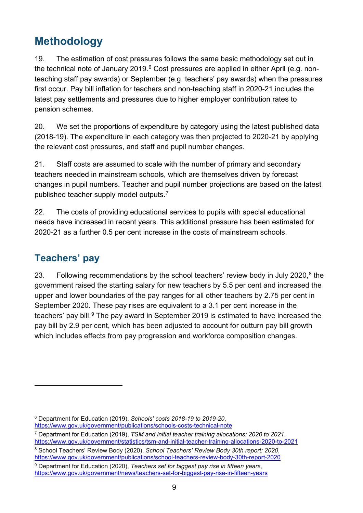# <span id="page-8-0"></span>**Methodology**

19. The estimation of cost pressures follows the same basic methodology set out in the technical note of January 2019.<sup>[6](#page-8-2)</sup> Cost pressures are applied in either April (e.g. nonteaching staff pay awards) or September (e.g. teachers' pay awards) when the pressures first occur. Pay bill inflation for teachers and non-teaching staff in 2020-21 includes the latest pay settlements and pressures due to higher employer contribution rates to pension schemes.

20. We set the proportions of expenditure by category using the latest published data (2018-19). The expenditure in each category was then projected to 2020-21 by applying the relevant cost pressures, and staff and pupil number changes.

21. Staff costs are assumed to scale with the number of primary and secondary teachers needed in mainstream schools, which are themselves driven by forecast changes in pupil numbers. Teacher and pupil number projections are based on the latest published teacher supply model outputs.[7](#page-8-3)

22. The costs of providing educational services to pupils with special educational needs have increased in recent years. This additional pressure has been estimated for 2020-21 as a further 0.5 per cent increase in the costs of mainstream schools.

## <span id="page-8-1"></span>**Teachers' pay**

23. Following recommendations by the school teachers' review body in July 2020,<sup>[8](#page-8-4)</sup> the government raised the starting salary for new teachers by 5.5 per cent and increased the upper and lower boundaries of the pay ranges for all other teachers by 2.75 per cent in September 2020. These pay rises are equivalent to a 3.1 per cent increase in the teachers' pay bill.<sup>[9](#page-8-5)</sup> The pay award in September 2019 is estimated to have increased the pay bill by 2.9 per cent, which has been adjusted to account for outturn pay bill growth which includes effects from pay progression and workforce composition changes.

<span id="page-8-3"></span><sup>7</sup> Department for Education (2019), *TSM and initial teacher training allocations: 2020 to 2021*, <https://www.gov.uk/government/statistics/tsm-and-initial-teacher-training-allocations-2020-to-2021>

<span id="page-8-5"></span><sup>9</sup> Department for Education (2020), *Teachers set for biggest pay rise in fifteen years*, <https://www.gov.uk/government/news/teachers-set-for-biggest-pay-rise-in-fifteen-years>

<span id="page-8-2"></span><sup>6</sup> Department for Education (2019), *Schools' costs 2018-19 to 2019-20*,

<https://www.gov.uk/government/publications/schools-costs-technical-note>

<span id="page-8-4"></span><sup>8</sup> School Teachers' Review Body (2020), *School Teachers' Review Body 30th report: 2020*, <https://www.gov.uk/government/publications/school-teachers-review-body-30th-report-2020>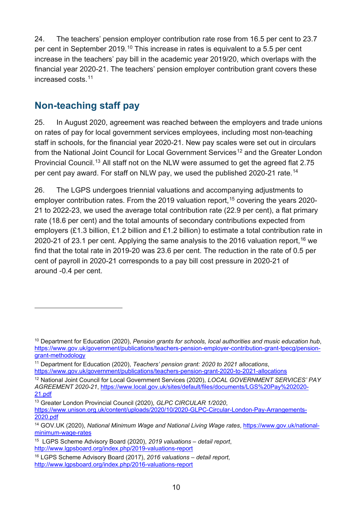24. The teachers' pension employer contribution rate rose from 16.5 per cent to 23.7 per cent in September 2019.<sup>[10](#page-9-1)</sup> This increase in rates is equivalent to a 5.5 per cent increase in the teachers' pay bill in the academic year 2019/20, which overlaps with the financial year 2020-21. The teachers' pension employer contribution grant covers these increased costs. [11](#page-9-2)

#### <span id="page-9-0"></span>**Non-teaching staff pay**

25. In August 2020, agreement was reached between the employers and trade unions on rates of pay for local government services employees, including most non-teaching staff in schools, for the financial year 2020-21. New pay scales were set out in circulars from the National Joint Council for Local Government Services<sup>[12](#page-9-3)</sup> and the Greater London Provincial Council.<sup>[13](#page-9-4)</sup> All staff not on the NLW were assumed to get the agreed flat 2.75 per cent pay award. For staff on NLW pay, we used the published 2020-21 rate. [14](#page-9-5)

26. The LGPS undergoes triennial valuations and accompanying adjustments to employer contribution rates. From the 2019 valuation report, <sup>[15](#page-9-6)</sup> covering the years 2020-21 to 2022-23, we used the average total contribution rate (22.9 per cent), a flat primary rate (18.6 per cent) and the total amounts of secondary contributions expected from employers (£1.3 billion, £1.2 billion and £1.2 billion) to estimate a total contribution rate in 2020-21 of 23.1 per cent. Applying the same analysis to the 20[16](#page-9-7) valuation report,  $16$  we find that the total rate in 2019-20 was 23.6 per cent. The reduction in the rate of 0.5 per cent of payroll in 2020-21 corresponds to a pay bill cost pressure in 2020-21 of around -0.4 per cent.

<span id="page-9-1"></span><sup>10</sup> Department for Education (2020), *Pension grants for schools, local authorities and music education hub*, [https://www.gov.uk/government/publications/teachers-pension-employer-contribution-grant-tpecg/pension](https://www.gov.uk/government/publications/teachers-pension-employer-contribution-grant-tpecg/pension-grant-methodology)[grant-methodology](https://www.gov.uk/government/publications/teachers-pension-employer-contribution-grant-tpecg/pension-grant-methodology)

<span id="page-9-2"></span><sup>11</sup> Department for Education (2020), *Teachers' pension grant: 2020 to 2021 allocations*, <https://www.gov.uk/government/publications/teachers-pension-grant-2020-to-2021-allocations>

<span id="page-9-3"></span><sup>12</sup> National Joint Council for Local Government Services (2020), *LOCAL GOVERNMENT SERVICES' PAY AGREEMENT 2020-21*, [https://www.local.gov.uk/sites/default/files/documents/LGS%20Pay%202020-](https://www.local.gov.uk/sites/default/files/documents/LGS%20Pay%202020-21.pdf) [21.pdf](https://www.local.gov.uk/sites/default/files/documents/LGS%20Pay%202020-21.pdf)

<span id="page-9-4"></span><sup>13</sup> Greater London Provincial Council (2020), *GLPC CIRCULAR 1/2020*, [https://www.unison.org.uk/content/uploads/2020/10/2020-GLPC-Circular-London-Pay-Arrangements-](https://www.unison.org.uk/content/uploads/2020/10/2020-GLPC-Circular-London-Pay-Arrangements-2020.pdf)[2020.pdf](https://www.unison.org.uk/content/uploads/2020/10/2020-GLPC-Circular-London-Pay-Arrangements-2020.pdf) 

<span id="page-9-5"></span><sup>14</sup> GOV.UK (2020), *National Minimum Wage and National Living Wage rates*, [https://www.gov.uk/national](https://www.gov.uk/national-minimum-wage-rates)[minimum-wage-rates](https://www.gov.uk/national-minimum-wage-rates)

<span id="page-9-6"></span><sup>15</sup> LGPS Scheme Advisory Board (2020), *2019 valuations – detail report*, <http://www.lgpsboard.org/index.php/2019-valuations-report>

<span id="page-9-7"></span><sup>16</sup> LGPS Scheme Advisory Board (2017), *2016 valuations – detail report*, <http://www.lgpsboard.org/index.php/2016-valuations-report>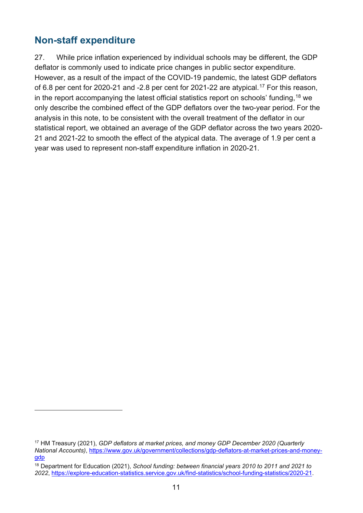### <span id="page-10-0"></span>**Non-staff expenditure**

27. While price inflation experienced by individual schools may be different, the GDP deflator is commonly used to indicate price changes in public sector expenditure. However, as a result of the impact of the COVID-19 pandemic, the latest GDP deflators of 6.8 per cent for 2020-21 and -2.8 per cent for 2021-22 are atypical.<sup>[17](#page-10-1)</sup> For this reason, in the report accompanying the latest official statistics report on schools' funding, $^{\mathsf{18}}$  $^{\mathsf{18}}$  $^{\mathsf{18}}$  we only describe the combined effect of the GDP deflators over the two-year period. For the analysis in this note, to be consistent with the overall treatment of the deflator in our statistical report, we obtained an average of the GDP deflator across the two years 2020- 21 and 2021-22 to smooth the effect of the atypical data. The average of 1.9 per cent a year was used to represent non-staff expenditure inflation in 2020-21.

<span id="page-10-1"></span><sup>17</sup> HM Treasury (2021), *GDP deflators at market prices, and money GDP December 2020 (Quarterly National Accounts)*, [https://www.gov.uk/government/collections/gdp-deflators-at-market-prices-and-money](https://www.gov.uk/government/collections/gdp-deflators-at-market-prices-and-money-gdp)[gdp](https://www.gov.uk/government/collections/gdp-deflators-at-market-prices-and-money-gdp) 

<span id="page-10-2"></span><sup>18</sup> Department for Education (2021), *School funding: between financial years 2010 to 2011 and 2021 to 2022*, [https://explore-education-statistics.service.gov.uk/find-statistics/school-funding-statistics/2020-21.](https://explore-education-statistics.service.gov.uk/find-statistics/school-funding-statistics/2020-21)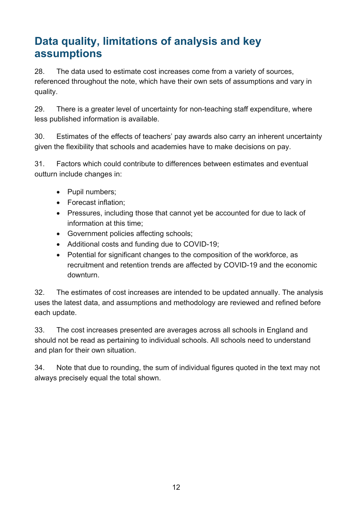# <span id="page-11-0"></span>**Data quality, limitations of analysis and key assumptions**

28. The data used to estimate cost increases come from a variety of sources, referenced throughout the note, which have their own sets of assumptions and vary in quality.

29. There is a greater level of uncertainty for non-teaching staff expenditure, where less published information is available.

30. Estimates of the effects of teachers' pay awards also carry an inherent uncertainty given the flexibility that schools and academies have to make decisions on pay.

31. Factors which could contribute to differences between estimates and eventual outturn include changes in:

- Pupil numbers;
- Forecast inflation;
- Pressures, including those that cannot yet be accounted for due to lack of information at this time;
- Government policies affecting schools;
- Additional costs and funding due to COVID-19;
- Potential for significant changes to the composition of the workforce, as recruitment and retention trends are affected by COVID-19 and the economic downturn.

32. The estimates of cost increases are intended to be updated annually. The analysis uses the latest data, and assumptions and methodology are reviewed and refined before each update.

33. The cost increases presented are averages across all schools in England and should not be read as pertaining to individual schools. All schools need to understand and plan for their own situation.

34. Note that due to rounding, the sum of individual figures quoted in the text may not always precisely equal the total shown.